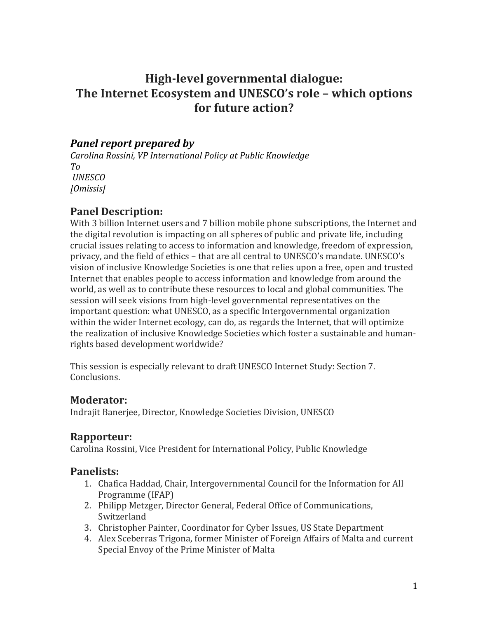# **High-level governmental dialogue: The Internet Ecosystem and UNESCO's role – which options for future action?**

## *Panel report prepared by*

*Carolina Rossini, VP International Policy at Public Knowledge To UNESCO [Omissis]*

## **Panel Description:**

With 3 billion Internet users and 7 billion mobile phone subscriptions, the Internet and the digital revolution is impacting on all spheres of public and private life, including crucial issues relating to access to information and knowledge, freedom of expression, privacy, and the field of ethics – that are all central to UNESCO's mandate. UNESCO's vision of inclusive Knowledge Societies is one that relies upon a free, open and trusted Internet that enables people to access information and knowledge from around the world, as well as to contribute these resources to local and global communities. The session will seek visions from high-level governmental representatives on the important question: what UNESCO, as a specific Intergovernmental organization within the wider Internet ecology, can do, as regards the Internet, that will optimize the realization of inclusive Knowledge Societies which foster a sustainable and humanrights based development worldwide?

This session is especially relevant to draft UNESCO Internet Study: Section 7. Conclusions.

### **Moderator:**

Indrajit Banerjee, Director, Knowledge Societies Division, UNESCO

### **Rapporteur:**

Carolina Rossini, Vice President for International Policy, Public Knowledge

### **Panelists:**

- 1. Chafica Haddad, Chair, Intergovernmental Council for the Information for All Programme (IFAP)
- 2. Philipp Metzger, Director General, Federal Office of Communications, Switzerland
- 3. Christopher Painter, Coordinator for Cyber Issues, US State Department
- 4. Alex Sceberras Trigona, former Minister of Foreign Affairs of Malta and current Special Envoy of the Prime Minister of Malta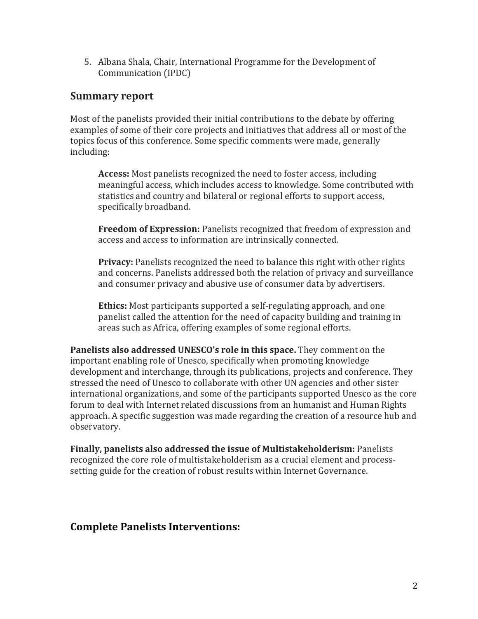5. Albana Shala, Chair, International Programme for the Development of Communication (IPDC)

### **Summary report**

Most of the panelists provided their initial contributions to the debate by offering examples of some of their core projects and initiatives that address all or most of the topics focus of this conference. Some specific comments were made, generally including:

**Access:** Most panelists recognized the need to foster access, including meaningful access, which includes access to knowledge. Some contributed with statistics and country and bilateral or regional efforts to support access, specifically broadband.

**Freedom of Expression:** Panelists recognized that freedom of expression and access and access to information are intrinsically connected.

**Privacy:** Panelists recognized the need to balance this right with other rights and concerns. Panelists addressed both the relation of privacy and surveillance and consumer privacy and abusive use of consumer data by advertisers.

**Ethics:** Most participants supported a self-regulating approach, and one panelist called the attention for the need of capacity building and training in areas such as Africa, offering examples of some regional efforts.

**Panelists also addressed UNESCO's role in this space.** They comment on the important enabling role of Unesco, specifically when promoting knowledge development and interchange, through its publications, projects and conference. They stressed the need of Unesco to collaborate with other UN agencies and other sister international organizations, and some of the participants supported Unesco as the core forum to deal with Internet related discussions from an humanist and Human Rights approach. A specific suggestion was made regarding the creation of a resource hub and observatory.

**Finally, panelists also addressed the issue of Multistakeholderism:** Panelists recognized the core role of multistakeholderism as a crucial element and processsetting guide for the creation of robust results within Internet Governance.

### **Complete Panelists Interventions:**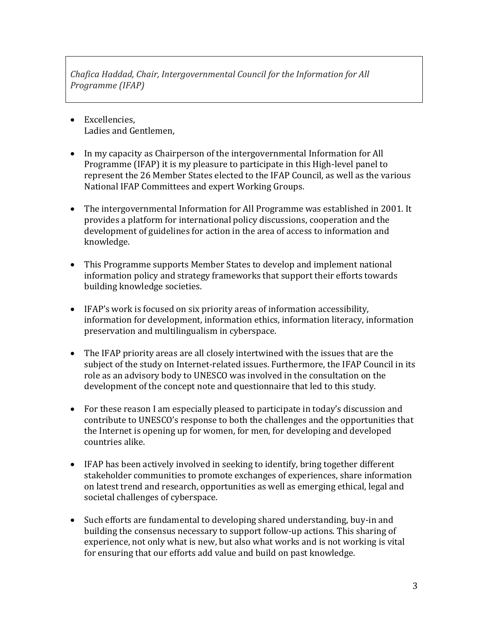*Chafica Haddad, Chair, Intergovernmental Council for the Information for All Programme (IFAP)*

- Excellencies, Ladies and Gentlemen,
- In my capacity as Chairperson of the intergovernmental [Information for](http://www.unesco.org/new/en/communication-and-information/intergovernmental-programmes/information-for-all-programme-ifap/homepage/) All [Programme](http://www.unesco.org/new/en/communication-and-information/intergovernmental-programmes/information-for-all-programme-ifap/homepage/) (IFAP) it is my pleasure to participate in this High-level panel to represent the 26 Member States elected to the IFAP Council, as well as the various National IFAP Committees and expert Working Groups.
- The intergovernmental [Information for All Programme](http://www.unesco.org/new/en/communication-and-information/intergovernmental-programmes/information-for-all-programme-ifap/homepage/) was established in 2001. It provides a platform for international policy discussions, cooperation and the development of guidelines for action in the area of access to information and knowledge.
- This Programme supports Member States to develop and implement national information policy and strategy frameworks that support their efforts towards building knowledge societies.
- IFAP's work is focused on six priority areas of information accessibility, information for development, information ethics, information literacy, information preservation and multilingualism in cyberspace.
- The IFAP priority areas are all closely intertwined with the issues that are the subject of the study on Internet-related issues. Furthermore, the IFAP Council in its role as an advisory body to UNESCO was involved in the consultation on the development of the concept note and questionnaire that led to this study.
- For these reason I am especially pleased to participate in today's discussion and contribute to UNESCO's response to both the challenges and the opportunities that the Internet is opening up for women, for men, for developing and developed countries alike.
- IFAP has been actively involved in seeking to identify, bring together different stakeholder communities to promote exchanges of experiences, share information on latest trend and research, opportunities as well as emerging ethical, legal and societal challenges of cyberspace.
- Such efforts are fundamental to developing shared understanding, buy-in and building the consensus necessary to support follow-up actions. This sharing of experience, not only what is new, but also what works and is not working is vital for ensuring that our efforts add value and build on past knowledge.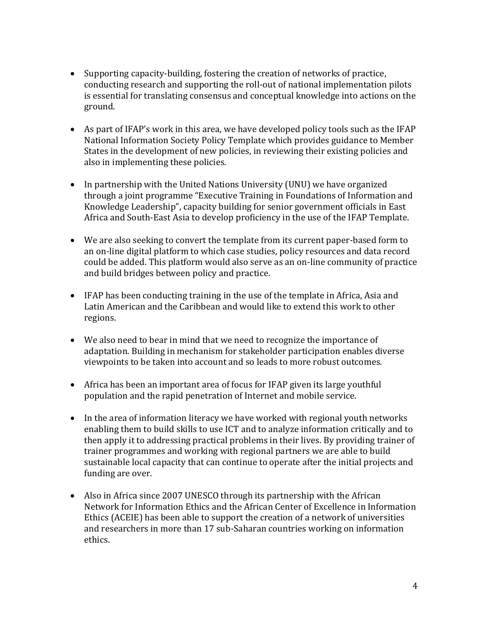- Supporting capacity-building, fostering the creation of networks of practice, conducting research and supporting the roll-out of national implementation pilots is essential for translating consensus and conceptual knowledge into actions on the ground.
- As part of IFAP's work in this area, we have developed policy tools such as the IFAP National Information Society Policy Template which provides guidance to Member States in the development of new policies, in reviewing their existing policies and also in implementing these policies.
- In partnership with the United Nations University (UNU) we have organized through a joint programme "Executive Training in Foundations of Information and Knowledge Leadership", capacity building for senior government officials in East Africa and South-East Asia to develop proficiency in the use of the IFAP Template.
- We are also seeking to convert the template from its current paper-based form to an on-line digital platform to which case studies, policy resources and data record could be added. This platform would also serve as an on-line community of practice and build bridges between policy and practice.
- IFAP has been conducting training in the use of the template in Africa, Asia and Latin American and the Caribbean and would like to extend this work to other regions.
- We also need to bear in mind that we need to recognize the importance of adaptation. Building in mechanism for stakeholder participation enables diverse viewpoints to be taken into account and so leads to more robust outcomes.
- Africa has been an important area of focus for IFAP given its large youthful population and the rapid penetration of Internet and mobile service.
- In the area of information literacy we have worked with regional youth networks enabling them to build skills to use ICT and to analyze information critically and to then apply it to addressing practical problems in their lives. By providing trainer of trainer programmes and working with regional partners we are able to build sustainable local capacity that can continue to operate after the initial projects and funding are over.
- Also in Africa since 2007 UNESCO through its partnership with the African Network for Information Ethics and the African Center of Excellence in Information Ethics (ACEIE) has been able to support the creation of a network of universities and researchers in more than 17 sub-Saharan countries working on information ethics.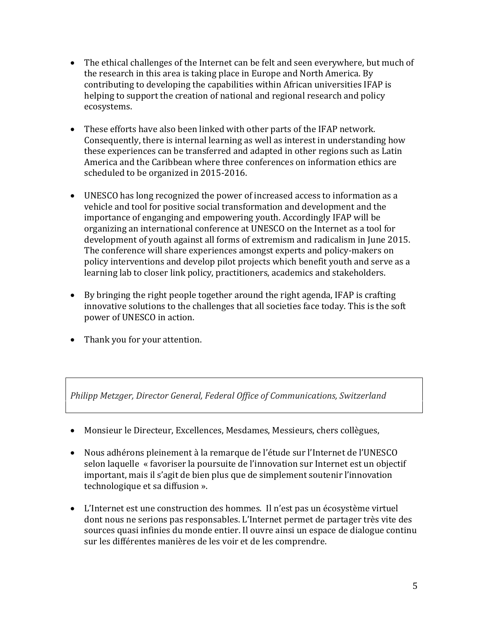- The ethical challenges of the Internet can be felt and seen everywhere, but much of the research in this area is taking place in Europe and North America. By contributing to developing the capabilities within African universities IFAP is helping to support the creation of national and regional research and policy ecosystems.
- These efforts have also been linked with other parts of the IFAP network. Consequently, there is internal learning as well as interest in understanding how these experiences can be transferred and adapted in other regions such as Latin America and the Caribbean where three conferences on information ethics are scheduled to be organized in 2015-2016.
- UNESCO has long recognized the power of increased access to information as a vehicle and tool for positive social transformation and development and the importance of enganging and empowering youth. Accordingly IFAP will be organizing an international conference at UNESCO on the Internet as a tool for development of youth against all forms of extremism and radicalism in June 2015. The conference will share experiences amongst experts and policy-makers on policy interventions and develop pilot projects which benefit youth and serve as a learning lab to closer link policy, practitioners, academics and stakeholders.
- By bringing the right people together around the right agenda, IFAP is crafting innovative solutions to the challenges that all societies face today. This is the soft power of UNESCO in action.
- Thank you for your attention.

*Philipp Metzger, Director General, Federal Office of Communications, Switzerland* 

- Monsieur le Directeur, Excellences, Mesdames, Messieurs, chers collègues,
- Nous adhérons pleinement à la remarque de l'étude sur l'Internet de l'UNESCO selon laquelle « favoriser la poursuite de l'innovation sur Internet est un objectif important, mais il s'agit de bien plus que de simplement soutenir l'innovation technologique et sa diffusion ».
- L'Internet est une construction des hommes. Il n'est pas un écosystème virtuel dont nous ne serions pas responsables. L'Internet permet de partager très vite des sources quasi infinies du monde entier. Il ouvre ainsi un espace de dialogue continu sur les différentes manières de les voir et de les comprendre.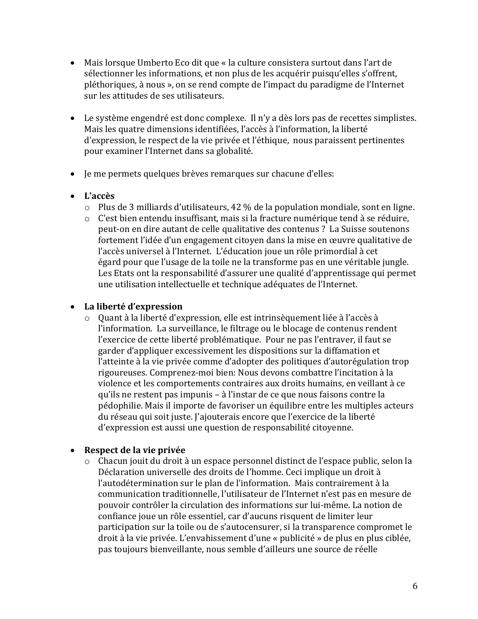- Mais lorsque Umberto Eco dit que « la culture consistera surtout dans l'art de sélectionner les informations, et non plus de les acquérir puisqu'elles s'offrent, pléthoriques, à nous », on se rend compte de l'impact du paradigme de l'Internet sur les attitudes de ses utilisateurs.
- Le système engendré est donc complexe. Il n'y a dès lors pas de recettes simplistes. Mais les quatre dimensions identifiées, l'accès à l'information, la liberté d'expression, le respect de la vie privée et l'éthique, nous paraissent pertinentes pour examiner l'Internet dans sa globalité.
- Je me permets quelques brèves remarques sur chacune d'elles:
- **L'accès** 
	- o Plus de 3 milliards d'utilisateurs, 42 % de la population mondiale, sont en ligne.
	- o C'est bien entendu insuffisant, mais si la fracture numérique tend à se réduire, peut-on en dire autant de celle qualitative des contenus ? La Suisse soutenons fortement l'idée d'un engagement citoyen dans la mise en œuvre qualitative de l'accès universel à l'Internet. L'éducation joue un rôle primordial à cet égard pour que l'usage de la toile ne la transforme pas en une véritable jungle. Les Etats ont la responsabilité d'assurer une qualité d'apprentissage qui permet une utilisation intellectuelle et technique adéquates de l'Internet.

#### **La liberté d'expression**

o Quant à la liberté d'expression, elle est intrinsèquement liée à l'accès à l'information. La surveillance, le filtrage ou le blocage de contenus rendent l'exercice de cette liberté problématique. Pour ne pas l'entraver, il faut se garder d'appliquer excessivement les dispositions sur la diffamation et l'atteinte à la vie privée comme d'adopter des politiques d'autorégulation trop rigoureuses. Comprenez-moi bien: Nous devons combattre l'incitation à la violence et les comportements contraires aux droits humains, en veillant à ce qu'ils ne restent pas impunis – à l'instar de ce que nous faisons contre la pédophilie. Mais il importe de favoriser un équilibre entre les multiples acteurs du réseau qui soit juste. J'ajouterais encore que l'exercice de la liberté d'expression est aussi une question de responsabilité citoyenne.

#### **Respect de la vie privée**

o Chacun jouit du droit à un espace personnel distinct de l'espace public, selon la Déclaration universelle des droits de l'homme. Ceci implique un droit à l'autodétermination sur le plan de l'information. Mais contrairement à la communication traditionnelle, l'utilisateur de l'Internet n'est pas en mesure de pouvoir contrôler la circulation des informations sur lui-même. La notion de confiance joue un rôle essentiel, car d'aucuns risquent de limiter leur participation sur la toile ou de s'autocensurer, si la transparence compromet le droit à la vie privée. L'envahissement d'une « publicité » de plus en plus ciblée, pas toujours bienveillante, nous semble d'ailleurs une source de réelle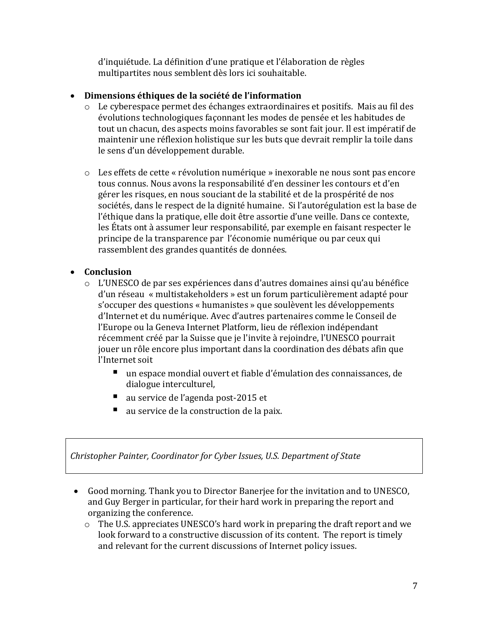d'inquiétude. La définition d'une pratique et l'élaboration de règles multipartites nous semblent dès lors ici souhaitable.

#### **Dimensions éthiques de la société de l'information**

- o Le cyberespace permet des échanges extraordinaires et positifs. Mais au fil des évolutions technologiques façonnant les modes de pensée et les habitudes de tout un chacun, des aspects moins favorables se sont fait jour. Il est impératif de maintenir une réflexion holistique sur les buts que devrait remplir la toile dans le sens d'un développement durable.
- o Les effets de cette « révolution numérique » inexorable ne nous sont pas encore tous connus. Nous avons la responsabilité d'en dessiner les contours et d'en gérer les risques, en nous souciant de la stabilité et de la prospérité de nos sociétés, dans le respect de la dignité humaine. Si l'autorégulation est la base de l'éthique dans la pratique, elle doit être assortie d'une veille. Dans ce contexte, les États ont à assumer leur responsabilité, par exemple en faisant respecter le principe de la transparence par l'économie numérique ou par ceux qui rassemblent des grandes quantités de données.

#### **Conclusion**

- o L'UNESCO de par ses expériences dans d'autres domaines ainsi qu'au bénéfice d'un réseau « multistakeholders » est un forum particulièrement adapté pour s'occuper des questions « humanistes » que soulèvent les développements d'Internet et du numérique. Avec d'autres partenaires comme le Conseil de l'Europe ou la Geneva Internet Platform, lieu de réflexion indépendant récemment créé par la Suisse que je l'invite à rejoindre, l'UNESCO pourrait jouer un rôle encore plus important dans la coordination des débats afin que l'Internet soit
	- un espace mondial ouvert et fiable d'émulation des connaissances, de dialogue interculturel,
	- au service de l'agenda post-2015 et
	- au service de la construction de la paix.

*Christopher Painter, Coordinator for Cyber Issues, U.S. Department of State*

- Good morning. Thank you to Director Banerjee for the invitation and to UNESCO, and Guy Berger in particular, for their hard work in preparing the report and organizing the conference.
	- o The U.S. appreciates UNESCO's hard work in preparing the draft report and we look forward to a constructive discussion of its content. The report is timely and relevant for the current discussions of Internet policy issues.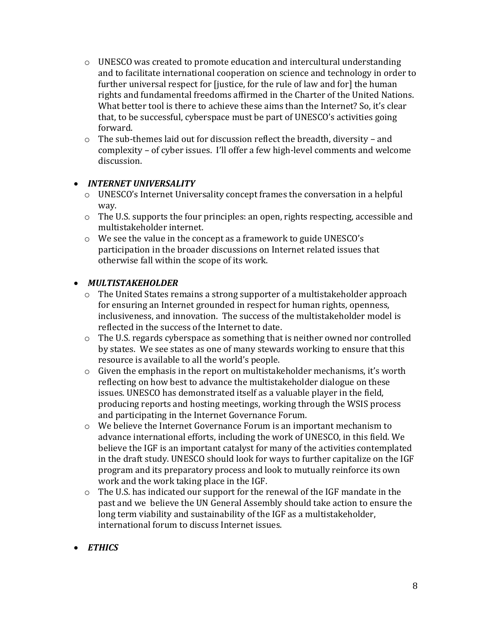- $\circ$  UNESCO was created to promote education and intercultural understanding and to facilitate international cooperation on science and technology in order to further universal respect for [justice, for the rule of law and for] the human rights and fundamental freedoms affirmed in the Charter of the United Nations. What better tool is there to achieve these aims than the Internet? So, it's clear that, to be successful, cyberspace must be part of UNESCO's activities going forward.
- o The sub-themes laid out for discussion reflect the breadth, diversity and complexity – of cyber issues. I'll offer a few high-level comments and welcome discussion.

#### *INTERNET UNIVERSALITY*

- o UNESCO's Internet Universality concept frames the conversation in a helpful way.
- $\circ$  The U.S. supports the four principles: an open, rights respecting, accessible and multistakeholder internet.
- o We see the value in the concept as a framework to guide UNESCO's participation in the broader discussions on Internet related issues that otherwise fall within the scope of its work.

#### *MULTISTAKEHOLDER*

- o The United States remains a strong supporter of a multistakeholder approach for ensuring an Internet grounded in respect for human rights, openness, inclusiveness, and innovation. The success of the multistakeholder model is reflected in the success of the Internet to date.
- o The U.S. regards cyberspace as something that is neither owned nor controlled by states. We see states as one of many stewards working to ensure that this resource is available to all the world's people.
- $\circ$  Given the emphasis in the report on multistakeholder mechanisms, it's worth reflecting on how best to advance the multistakeholder dialogue on these issues. UNESCO has demonstrated itself as a valuable player in the field, producing reports and hosting meetings, working through the WSIS process and participating in the Internet Governance Forum.
- o We believe the Internet Governance Forum is an important mechanism to advance international efforts, including the work of UNESCO, in this field. We believe the IGF is an important catalyst for many of the activities contemplated in the draft study. UNESCO should look for ways to further capitalize on the IGF program and its preparatory process and look to mutually reinforce its own work and the work taking place in the IGF.
- o The U.S. has indicated our support for the renewal of the IGF mandate in the past and we believe the UN General Assembly should take action to ensure the long term viability and sustainability of the IGF as a multistakeholder, international forum to discuss Internet issues.
- *ETHICS*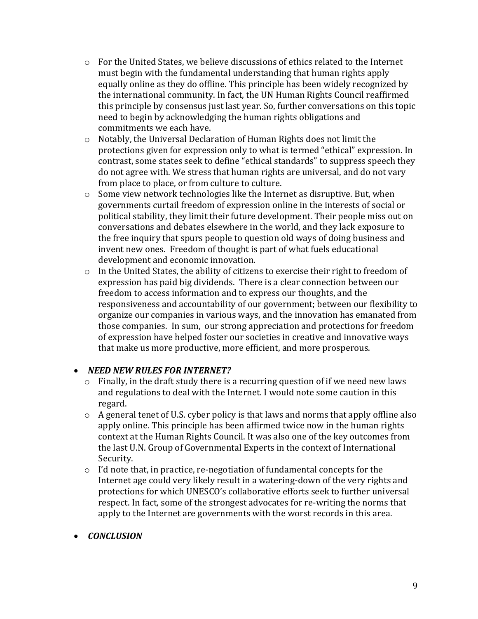- $\circ$  For the United States, we believe discussions of ethics related to the Internet must begin with the fundamental understanding that human rights apply equally online as they do offline. This principle has been widely recognized by the international community. In fact, the UN Human Rights Council reaffirmed this principle by consensus just last year. So, further conversations on this topic need to begin by acknowledging the human rights obligations and commitments we each have.
- o Notably, the Universal Declaration of Human Rights does not limit the protections given for expression only to what is termed "ethical" expression. In contrast, some states seek to define "ethical standards" to suppress speech they do not agree with. We stress that human rights are universal, and do not vary from place to place, or from culture to culture.
- $\circ$  Some view network technologies like the Internet as disruptive. But, when governments curtail freedom of expression online in the interests of social or political stability, they limit their future development. Their people miss out on conversations and debates elsewhere in the world, and they lack exposure to the free inquiry that spurs people to question old ways of doing business and invent new ones. Freedom of thought is part of what fuels educational development and economic innovation.
- o In the United States, the ability of citizens to exercise their right to freedom of expression has paid big dividends. There is a clear connection between our freedom to access information and to express our thoughts, and the responsiveness and accountability of our government; between our flexibility to organize our companies in various ways, and the innovation has emanated from those companies. In sum, our strong appreciation and protections for freedom of expression have helped foster our societies in creative and innovative ways that make us more productive, more efficient, and more prosperous.

#### *NEED NEW RULES FOR INTERNET?*

- $\circ$  Finally, in the draft study there is a recurring question of if we need new laws and regulations to deal with the Internet. I would note some caution in this regard.
- o A general tenet of U.S. cyber policy is that laws and norms that apply offline also apply online. This principle has been affirmed twice now in the human rights context at the Human Rights Council. It was also one of the key outcomes from the last U.N. Group of Governmental Experts in the context of International Security.
- o I'd note that, in practice, re-negotiation of fundamental concepts for the Internet age could very likely result in a watering-down of the very rights and protections for which UNESCO's collaborative efforts seek to further universal respect. In fact, some of the strongest advocates for re-writing the norms that apply to the Internet are governments with the worst records in this area.

#### *CONCLUSION*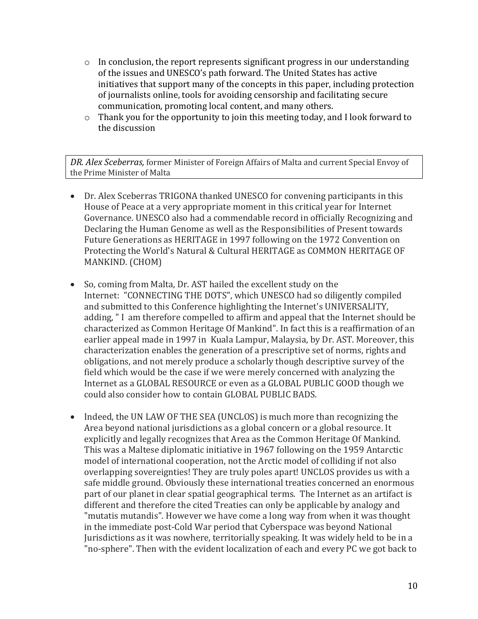- $\circ$  In conclusion, the report represents significant progress in our understanding of the issues and UNESCO's path forward. The United States has active initiatives that support many of the concepts in this paper, including protection of journalists online, tools for avoiding censorship and facilitating secure communication, promoting local content, and many others.
- o Thank you for the opportunity to join this meeting today, and I look forward to the discussion

*DR. Alex Sceberras,* former Minister of Foreign Affairs of Malta and current Special Envoy of the Prime Minister of Malta

- Dr. Alex Sceberras TRIGONA thanked UNESCO for convening participants in this House of Peace at a very appropriate moment in this critical year for Internet Governance. UNESCO also had a commendable record in officially Recognizing and Declaring the Human Genome as well as the Responsibilities of Present towards Future Generations as HERITAGE in 1997 following on the 1972 Convention on Protecting the World's Natural & Cultural HERITAGE as COMMON HERITAGE OF MANKIND. (CHOM)
- So, coming from Malta, Dr. AST hailed the excellent study on the Internet: "CONNECTING THE DOTS", which UNESCO had so diligently compiled and submitted to this Conference highlighting the Internet's UNIVERSALITY, adding, " I am therefore compelled to affirm and appeal that the Internet should be characterized as Common Heritage Of Mankind". In fact this is a reaffirmation of an earlier appeal made in 1997 in Kuala Lampur, Malaysia, by Dr. AST. Moreover, this characterization enables the generation of a prescriptive set of norms, rights and obligations, and not merely produce a scholarly though descriptive survey of the field which would be the case if we were merely concerned with analyzing the Internet as a GLOBAL RESOURCE or even as a GLOBAL PUBLIC GOOD though we could also consider how to contain GLOBAL PUBLIC BADS.
- Indeed, the UN LAW OF THE SEA (UNCLOS) is much more than recognizing the Area beyond national jurisdictions as a global concern or a global resource. It explicitly and legally recognizes that Area as the Common Heritage Of Mankind. This was a Maltese diplomatic initiative in 1967 following on the 1959 Antarctic model of international cooperation, not the Arctic model of colliding if not also overlapping sovereignties! They are truly poles apart! UNCLOS provides us with a safe middle ground. Obviously these international treaties concerned an enormous part of our planet in clear spatial geographical terms. The Internet as an artifact is different and therefore the cited Treaties can only be applicable by analogy and "mutatis mutandis". However we have come a long way from when it was thought in the immediate post-Cold War period that Cyberspace was beyond National Jurisdictions as it was nowhere, territorially speaking. It was widely held to be in a "no-sphere". Then with the evident localization of each and every PC we got back to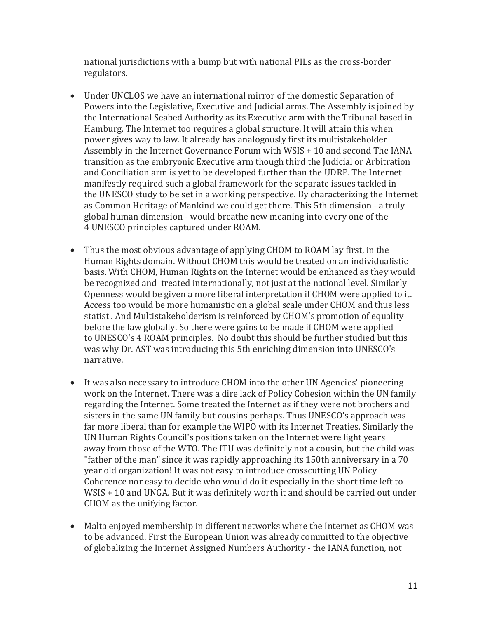national jurisdictions with a bump but with national PILs as the cross-border regulators.

- Under UNCLOS we have an international mirror of the domestic Separation of Powers into the Legislative, Executive and Judicial arms. The Assembly is joined by the International Seabed Authority as its Executive arm with the Tribunal based in Hamburg. The Internet too requires a global structure. It will attain this when power gives way to law. It already has analogously first its multistakeholder Assembly in the Internet Governance Forum with WSIS + 10 and second The IANA transition as the embryonic Executive arm though third the Judicial or Arbitration and Conciliation arm is yet to be developed further than the UDRP. The Internet manifestly required such a global framework for the separate issues tackled in the UNESCO study to be set in a working perspective. By characterizing the Internet as Common Heritage of Mankind we could get there. This 5th dimension - a truly global human dimension - would breathe new meaning into every one of the 4 UNESCO principles captured under ROAM.
- Thus the most obvious advantage of applying CHOM to ROAM lay first, in the Human Rights domain. Without CHOM this would be treated on an individualistic basis. With CHOM, Human Rights on the Internet would be enhanced as they would be recognized and treated internationally, not just at the national level. Similarly Openness would be given a more liberal interpretation if CHOM were applied to it. Access too would be more humanistic on a global scale under CHOM and thus less statist . And Multistakeholderism is reinforced by CHOM's promotion of equality before the law globally. So there were gains to be made if CHOM were applied to UNESCO's 4 ROAM principles. No doubt this should be further studied but this was why Dr. AST was introducing this 5th enriching dimension into UNESCO's narrative.
- It was also necessary to introduce CHOM into the other UN Agencies' pioneering work on the Internet. There was a dire lack of Policy Cohesion within the UN family regarding the Internet. Some treated the Internet as if they were not brothers and sisters in the same UN family but cousins perhaps. Thus UNESCO's approach was far more liberal than for example the WIPO with its Internet Treaties. Similarly the UN Human Rights Council's positions taken on the Internet were light years away from those of the WTO. The ITU was definitely not a cousin, but the child was "father of the man" since it was rapidly approaching its 150th anniversary in a 70 year old organization! It was not easy to introduce crosscutting UN Policy Coherence nor easy to decide who would do it especially in the short time left to WSIS + 10 and UNGA. But it was definitely worth it and should be carried out under CHOM as the unifying factor.
- Malta enjoyed membership in different networks where the Internet as CHOM was to be advanced. First the European Union was already committed to the objective of globalizing the Internet Assigned Numbers Authority - the IANA function, not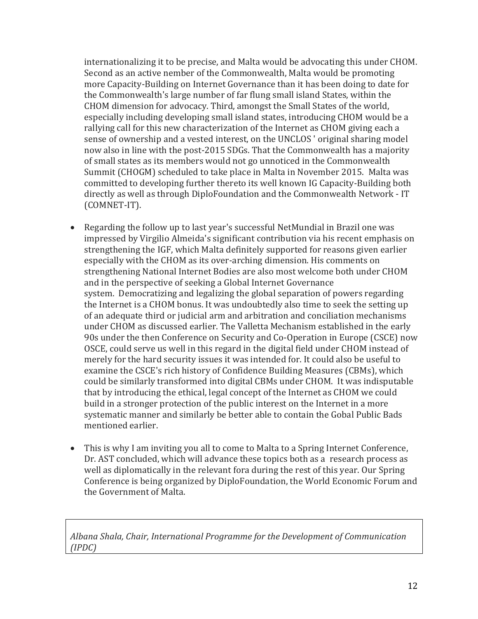internationalizing it to be precise, and Malta would be advocating this under CHOM. Second as an active nember of the Commonwealth, Malta would be promoting more Capacity-Building on Internet Governance than it has been doing to date for the Commonwealth's large number of far flung small island States, within the CHOM dimension for advocacy. Third, amongst the Small States of the world, especially including developing small island states, introducing CHOM would be a rallying call for this new characterization of the Internet as CHOM giving each a sense of ownership and a vested interest, on the UNCLOS ' original sharing model now also in line with the post-2015 SDGs. That the Commonwealth has a majority of small states as its members would not go unnoticed in the Commonwealth Summit (CHOGM) scheduled to take place in Malta in November 2015. Malta was committed to developing further thereto its well known IG Capacity-Building both directly as well as through DiploFoundation and the Commonwealth Network - IT (COMNET-IT).

- Regarding the follow up to last year's successful NetMundial in Brazil one was impressed by Virgilio Almeida's significant contribution via his recent emphasis on strengthening the IGF, which Malta definitely supported for reasons given earlier especially with the CHOM as its over-arching dimension. His comments on strengthening National Internet Bodies are also most welcome both under CHOM and in the perspective of seeking a Global Internet Governance system. Democratizing and legalizing the global separation of powers regarding the Internet is a CHOM bonus. It was undoubtedly also time to seek the setting up of an adequate third or judicial arm and arbitration and conciliation mechanisms under CHOM as discussed earlier. The Valletta Mechanism established in the early 90s under the then Conference on Security and Co-Operation in Europe (CSCE) now OSCE, could serve us well in this regard in the digital field under CHOM instead of merely for the hard security issues it was intended for. It could also be useful to examine the CSCE's rich history of Confidence Building Measures (CBMs), which could be similarly transformed into digital CBMs under CHOM. It was indisputable that by introducing the ethical, legal concept of the Internet as CHOM we could build in a stronger protection of the public interest on the Internet in a more systematic manner and similarly be better able to contain the Gobal Public Bads mentioned earlier.
- This is why I am inviting you all to come to Malta to a Spring Internet Conference, Dr. AST concluded, which will advance these topics both as a research process as well as diplomatically in the relevant fora during the rest of this year. Our Spring Conference is being organized by DiploFoundation, the World Economic Forum and the Government of Malta.

*Albana Shala, Chair, International Programme for the Development of Communication (IPDC)*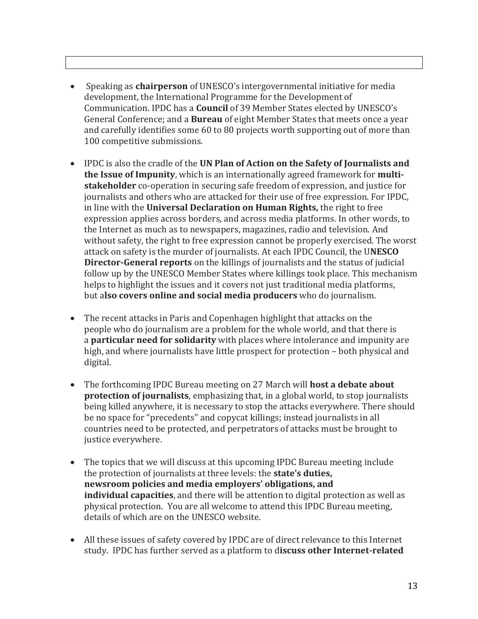- Speaking as **chairperson** of UNESCO's intergovernmental initiative for media development, the International Programme for the Development of Communication. IPDC has a **Council** of 39 Member States elected by UNESCO's General Conference; and a **Bureau** of eight Member States that meets once a year and carefully identifies some 60 to 80 projects worth supporting out of more than 100 competitive submissions.
- IPDC is also the cradle of the **UN Plan of Action on the Safety of Journalists and the Issue of Impunity**, which is an internationally agreed framework for **multistakeholder** co-operation in securing safe freedom of expression, and justice for journalists and others who are attacked for their use of free expression. For IPDC, in line with the **Universal Declaration on Human Rights,** the right to free expression applies across borders, and across media platforms. In other words, to the Internet as much as to newspapers, magazines, radio and television. And without safety, the right to free expression cannot be properly exercised. The worst attack on safety is the murder of journalists. At each IPDC Council, the U**NESCO Director-General reports** on the killings of journalists and the status of judicial follow up by the UNESCO Member States where killings took place. This mechanism helps to highlight the issues and it covers not just traditional media platforms, but a**lso covers online and social media producers** who do journalism.
- The recent attacks in Paris and Copenhagen highlight that attacks on the people who do journalism are a problem for the whole world, and that there is a **particular need for solidarity** with places where intolerance and impunity are high, and where journalists have little prospect for protection – both physical and digital.
- The forthcoming IPDC Bureau meeting on 27 March will **host a debate about protection of journalists**, emphasizing that, in a global world, to stop journalists being killed anywhere, it is necessary to stop the attacks everywhere. There should be no space for "precedents" and copycat killings; instead journalists in all countries need to be protected, and perpetrators of attacks must be brought to justice everywhere.
- The topics that we will discuss at this upcoming IPDC Bureau meeting include the protection of journalists at three levels: the **state's duties, newsroom policies and media employers' obligations, and individual capacities**, and there will be attention to digital protection as well as physical protection. You are all welcome to attend this IPDC Bureau meeting, details of which are on the UNESCO website.
- All these issues of safety covered by IPDC are of direct relevance to this Internet study. IPDC has further served as a platform to d**iscuss other Internet-related**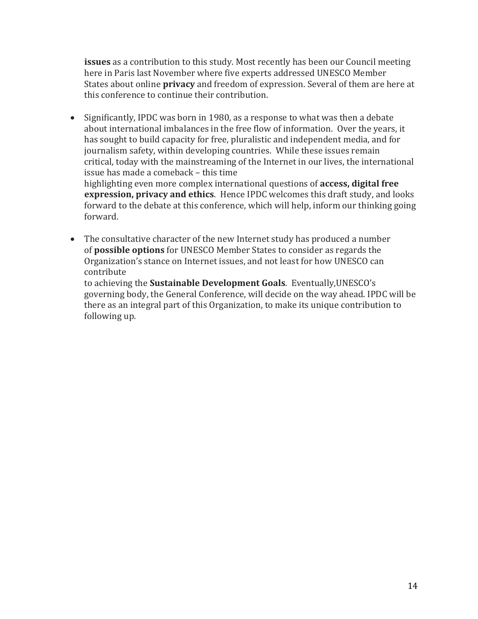**issues** as a contribution to this study. Most recently has been our Council meeting here in Paris last November where five experts addressed UNESCO Member States about online **privacy** and freedom of expression. Several of them are here at this conference to continue their contribution.

 Significantly, IPDC was born in 1980, as a response to what was then a debate about international imbalances in the free flow of information. Over the years, it has sought to build capacity for free, pluralistic and independent media, and for journalism safety, within developing countries. While these issues remain critical, today with the mainstreaming of the Internet in our lives, the international issue has made a comeback – this time highlighting even more complex international questions of **access, digital free expression, privacy and ethics**. Hence IPDC welcomes this draft study, and looks forward to the debate at this conference, which will help, inform our thinking going

forward.

 The consultative character of the new Internet study has produced a number of **possible options** for UNESCO Member States to consider as regards the Organization's stance on Internet issues, and not least for how UNESCO can contribute

to achieving the **Sustainable Development Goals**. Eventually,UNESCO's governing body, the General Conference, will decide on the way ahead. IPDC will be there as an integral part of this Organization, to make its unique contribution to following up.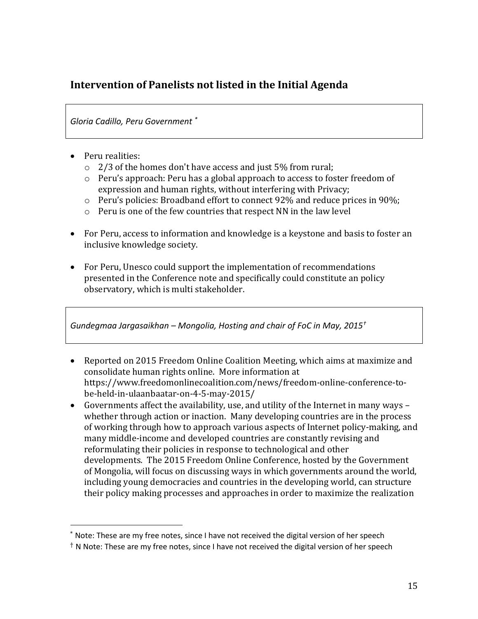## **Intervention of Panelists not listed in the Initial Agenda**

*Gloria Cadillo, Peru Government \**

• Peru realities:

 $\overline{a}$ 

- o 2/3 of the homes don't have access and just 5% from rural;
- o Peru's approach: Peru has a global approach to access to foster freedom of expression and human rights, without interfering with Privacy;
- $\circ$  Peru's policies: Broadband effort to connect 92% and reduce prices in 90%;
- o Peru is one of the few countries that respect NN in the law level
- For Peru, access to information and knowledge is a keystone and basis to foster an inclusive knowledge society.
- For Peru, Unesco could support the implementation of recommendations presented in the Conference note and specifically could constitute an policy observatory, which is multi stakeholder.

*Gundegmaa Jargasaikhan – Mongolia, Hosting and chair of FoC in May, 2015†*

- Reported on 2015 Freedom Online Coalition Meeting, which aims at maximize and consolidate human rights online. More information at [https://www.freedomonlinecoalition.com/news/freedom-online-conference-to](https://www.freedomonlinecoalition.com/news/freedom-online-conference-to-be-held-in-ulaanbaatar-on-4-5-may-2015/)[be-held-in-ulaanbaatar-on-4-5-may-2015/](https://www.freedomonlinecoalition.com/news/freedom-online-conference-to-be-held-in-ulaanbaatar-on-4-5-may-2015/)
- Governments affect the availability, use, and utility of the Internet in many ways whether through action or inaction. Many developing countries are in the process of working through how to approach various aspects of Internet policy-making, and many middle-income and developed countries are constantly revising and reformulating their policies in response to technological and other developments. The 2015 Freedom Online Conference, hosted by the Government of Mongolia, will focus on discussing ways in which governments around the world, including young democracies and countries in the developing world, can structure their policy making processes and approaches in order to maximize the realization

<sup>\*</sup> Note: These are my free notes, since I have not received the digital version of her speech

 $\dagger$  N Note: These are my free notes, since I have not received the digital version of her speech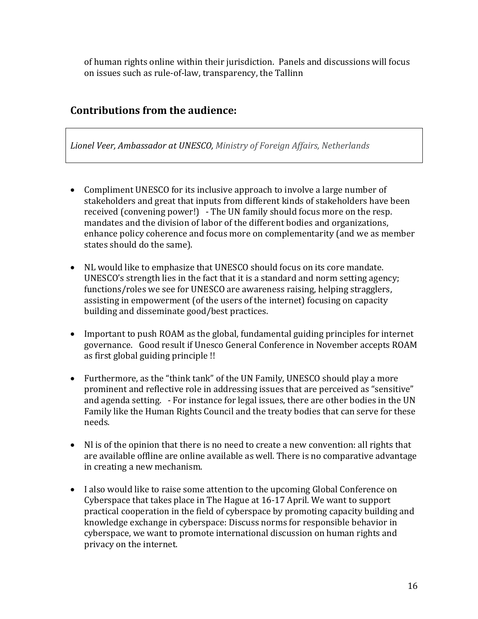of human rights online within their jurisdiction. Panels and discussions will focus on issues such as rule-of-law, transparency, the [Tallinn](https://www.freedomonlinecoalition.com/wp-content/uploads/2014/04/FOC-recommendations-consensus.pdf)

## **Contributions from the audience:**

*Lionel Veer, [Ambassador](https://www.linkedin.com/vsearch/p?title=Ambassador+at+UNESCO&trk=prof-exp-title) at UNESCO, Ministry of Foreign Affairs, [Netherlands](https://www.linkedin.com/company/354899?trk=prof-exp-company-name)*

- Compliment UNESCO for its inclusive approach to involve a large number of stakeholders and great that inputs from different kinds of stakeholders have been received (convening power!) - The UN family should focus more on the resp. mandates and the division of labor of the different bodies and organizations, enhance policy coherence and focus more on complementarity (and we as member states should do the same).
- NL would like to emphasize that UNESCO should focus on its core mandate. UNESCO's strength lies in the fact that it is a standard and norm setting agency; functions/roles we see for UNESCO are awareness raising, helping stragglers, assisting in empowerment (of the users of the internet) focusing on capacity building and disseminate good/best practices.
- Important to push ROAM as the global, fundamental guiding principles for internet governance. Good result if Unesco General Conference in November accepts ROAM as first global guiding principle !!
- Furthermore, as the "think tank" of the UN Family, UNESCO should play a more prominent and reflective role in addressing issues that are perceived as "sensitive" and agenda setting. - For instance for legal issues, there are other bodies in the UN Family like the Human Rights Council and the treaty bodies that can serve for these needs.
- Nl is of the opinion that there is no need to create a new convention: all rights that are available offline are online available as well. There is no comparative advantage in creating a new mechanism.
- I also would like to raise some attention to the upcoming Global Conference on Cyberspace that takes place in The Hague at 16-17 April. We want to support practical cooperation in the field of cyberspace by promoting capacity building and knowledge exchange in cyberspace: Discuss norms for responsible behavior in cyberspace, we want to promote international discussion on human rights and privacy on the internet.